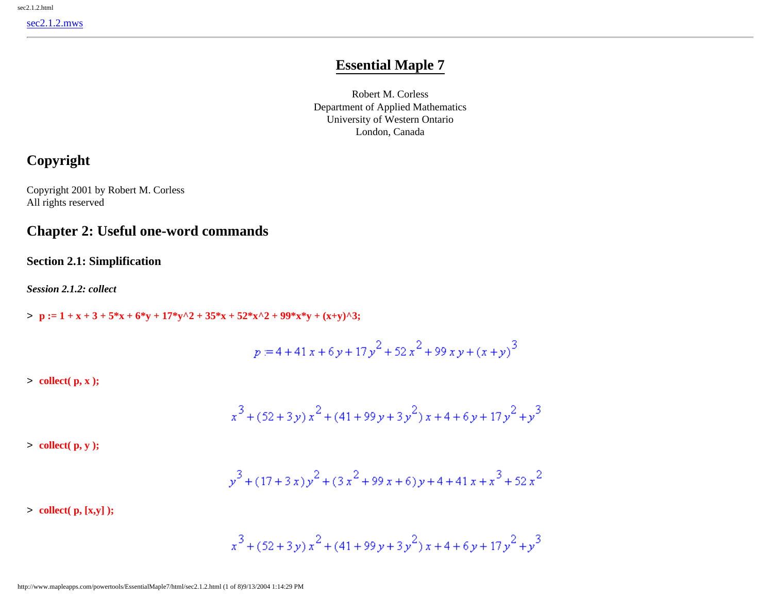# **Essential Maple 7**

Robert M. Corless Department of Applied Mathematics University of Western Ontario London, Canada

# **Copyright**

Copyright 2001 by Robert M. Corless All rights reserved

## **Chapter 2: Useful one-word commands**

**Section 2.1: Simplification**

*Session 2.1.2: collect*

 $\Rightarrow$  **p** := 1 + x + 3 + 5\*x + 6\*y + 17\*y^2 + 35\*x + 52\*x^2 + 99\*x\*y + (x+y)^3;

$$
p = 4 + 41 x + 6 y + 17 y^{2} + 52 x^{2} + 99 x y + (x + y)^{3}
$$

> **collect( p, x );**

$$
x^3 + (52 + 3y)x^2 + (41 + 99y + 3y^2)x + 4 + 6y + 17y^2 + y^3
$$

> **collect( p, y );**

$$
y^3 + (17 + 3 x) y^2 + (3 x^2 + 99 x + 6) y + 4 + 41 x + x^3 + 52 x^2
$$

> **collect( p, [x,y] );**

$$
x^3 + (52 + 3y)x^2 + (41 + 99y + 3y^2)x + 4 + 6y + 17y^2 + y^3
$$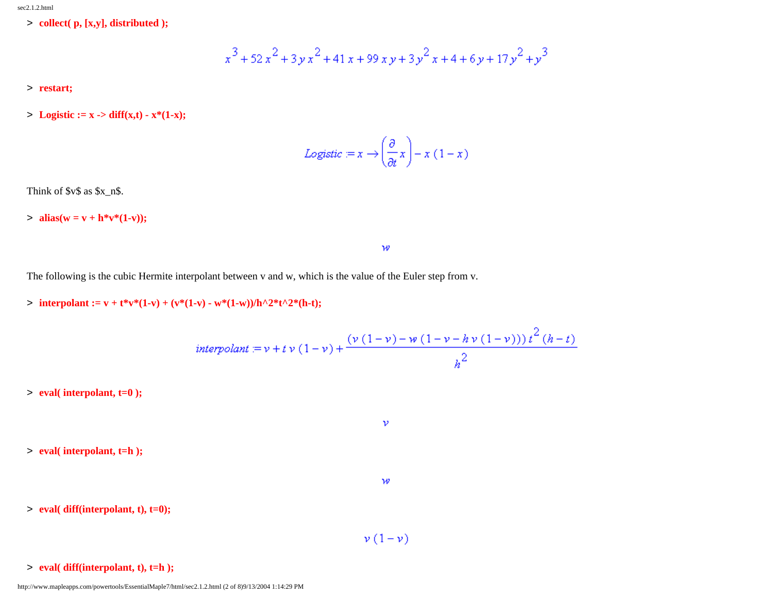> **collect( p, [x,y], distributed );**

$$
x^3 + 52x^2 + 3yx^2 + 41x + 99xy + 3y^2x + 4 + 6y + 17y^2 + y^3
$$

- > **restart;**
- > **Logistic := x** -> diff(x,t)  $x*(1-x)$ ;

$$
Logistic := x \rightarrow \left(\frac{\partial}{\partial t}x\right) - x(1-x)
$$

 $\mathcal W$ 

Think of  $y\$ as  $x_n$ \$.

 $> \text{alias}(w = v + h * v * (1-v));$ 

The following is the cubic Hermite interpolant between v and w, which is the value of the Euler step from v.

> **interpolant := v** + t\*v\*(1-v) + (v\*(1-v) - w\*(1-w))/h^2\*t^2\*(h-t);

$$
interpolant := v + t v (1-v) + \frac{(v (1-v) - w (1-v - h v (1-v))) t^2 (h-t)}{h^2}
$$

 $\mathcal{V}$ 

 $\mathcal W$ 

> **eval( interpolant, t=0 );**

> **eval( interpolant, t=h );**

> **eval( diff(interpolant, t), t=0);**

 $\nu(1-\nu)$ 

> **eval( diff(interpolant, t), t=h );**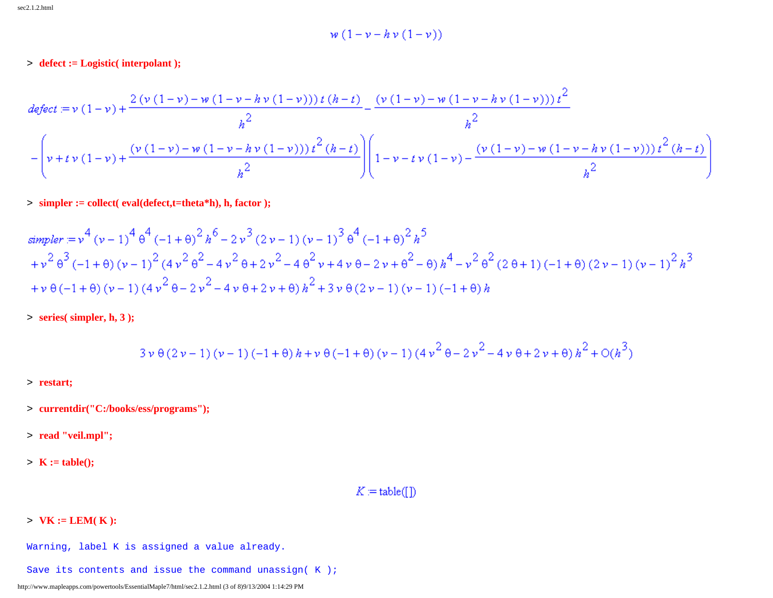$$
w(1-v-hv(1-v))
$$

> **defect := Logistic( interpolant );**

$$
defect := v (1 - v) + \frac{2 (v (1 - v) - w (1 - v - h v (1 - v))) t (h - t)}{h^2} - \frac{(v (1 - v) - w (1 - v - h v (1 - v))) t^2}{h^2}
$$

$$
-\left(v + t v (1 - v) + \frac{(v (1 - v) - w (1 - v - h v (1 - v))) t^2 (h - t)}{h^2}\right)\left(1 - v - t v (1 - v) - \frac{(v (1 - v) - w (1 - v - h v (1 - v))) t^2 (h - t)}{h^2}\right)
$$

> **simpler := collect( eval(defect,t=theta\*h), h, factor );**

$$
simpler := v^{4} (v-1)^{4} \theta^{4} (-1+\theta)^{2} h^{6} - 2v^{3} (2v-1) (v-1)^{3} \theta^{4} (-1+\theta)^{2} h^{5}
$$
\n
$$
+ v^{2} \theta^{3} (-1+\theta) (v-1)^{2} (4v^{2} \theta^{2} - 4v^{2} \theta + 2v^{2} - 4\theta^{2} v + 4v \theta - 2v + \theta^{2} - \theta) h^{4} - v^{2} \theta^{2} (2\theta + 1) (-1+\theta) (2v-1) (v-1)^{2} h^{3}
$$
\n
$$
+ v \theta (-1+\theta) (v-1) (4v^{2} \theta - 2v^{2} - 4v \theta + 2v + \theta) h^{2} + 3v \theta (2v-1) (v-1) (-1+\theta) h
$$

> **series( simpler, h, 3 );**

$$
3\,\nu\,\theta\left(2\,\nu-1\right)\left(\nu-1\right)\left(-1+\theta\right)h+\nu\,\theta\left(-1+\theta\right)\left(\nu-1\right)\left(4\,\nu^{\textstyle 2}\,\theta-2\,\nu^{\textstyle 2}-4\,\nu\,\theta+2\,\nu+\theta\right)h^{\textstyle 2}+O(h^{\textstyle 3})
$$

- > **restart;**
- > **currentdir("C:/books/ess/programs");**
- > **read "veil.mpl";**
- > **K := table();**

### $K:=\operatorname{table}(\left[\!\left[\,\right]\!\right)$

### > **VK := LEM( K ):**

- Warning, label K is assigned a value already.
- Save its contents and issue the command unassign( K );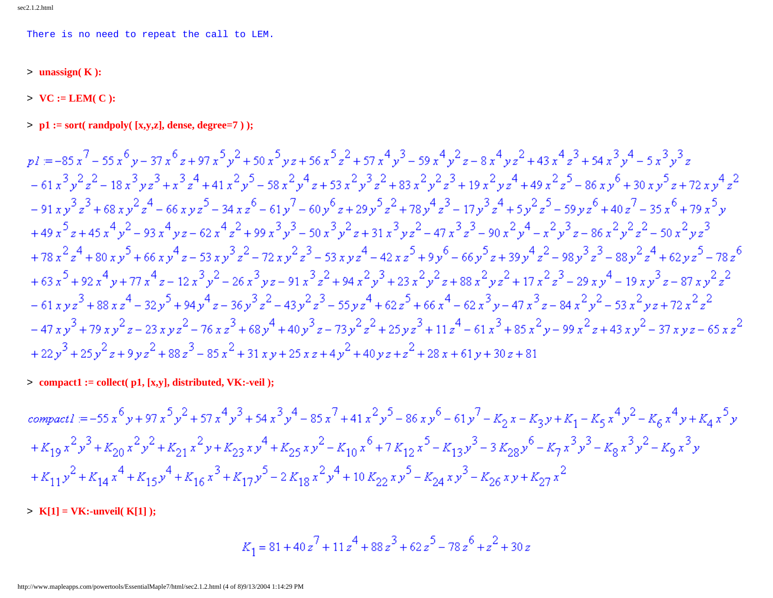There is no need to repeat the call to LEM.

> **unassign( K ):**

 $> \mathbf{VC} := \mathbf{LEM}(\mathbf{C})$ :

> **p1 := sort( randpoly( [x,y,z], dense, degree=7 ) );**

 $n = -85x^7 - 55x^6y - 37x^6z + 97x^5y^2 + 50x^5yz + 56x^5z^2 + 57x^4y^3 - 59x^4y^2z - 8x^4yz^2 + 43x^4z^3 + 54x^3y^4 - 5x^3y^3z$  $-61x^3y^2z^2 - 18x^3yz^3 + x^3z^4 + 41x^2y^5 - 58x^2y^4z + 53x^2y^3z^2 + 83x^2y^2z^3 + 19x^2yz^4 + 49x^2z^5 - 86xy^6 + 30xy^5z + 72xy^4z^2$  $-91xy^{3}z^{3}+68xy^{2}z^{4}-66xyz^{5}-34xz^{6}-61y^{7}-60y^{6}z+29y^{5}z^{2}+78y^{4}z^{3}-17y^{3}z^{4}+5y^{2}z^{5}-59yz^{6}+40z^{7}-35x^{6}+79x^{5}y^{1}$  $+49x^5z+45x^4y^2-93x^4yz-62x^4z^2+99x^3y^3-50x^3y^2z+31x^3yz^2-47x^3z^3-90x^2y^4-z^2y^3z-86x^2y^2z^2-50x^2yz^3$  $+78x^2z^4+80x^3z^5+66xy^4z-53xy^3z^2-72xy^2z^3-53xyz^4-42xz^5+9y^6-66y^5z+39y^4z^2-98y^3z^3-88y^2z^4+62yz^5-78z^6$  $+63x^5+92x^4y+77x^4z-12x^3y^2-26x^3yz-91x^3z^2+94x^2y^3+23x^2y^2z+88x^2yz^2+17x^2z^3-29xy^4-19xy^3z-87xy^2z^2$  $-61xyz^{3} + 88xz^{4} - 32y^{5} + 94y^{4}z - 36y^{3}z^{2} - 43y^{2}z^{3} - 55yz^{4} + 62z^{5} + 66x^{4} - 62x^{3}y - 47x^{3}z - 84x^{2}y^{2} - 53x^{2}yz + 72x^{2}z^{2}$  $-47xy^{3} + 79xy^{2}z - 23xyz^{2} - 76xz^{3} + 68y^{4} + 40y^{3}z - 73y^{2}z^{2} + 25yz^{3} + 11z^{4} - 61x^{3} + 85x^{2}y - 99x^{2}z + 43xy^{2} - 37xyz - 65xz^{2}$ +22y<sup>3</sup> + 25y<sup>2</sup> z + 9yz<sup>2</sup> + 88z<sup>3</sup> - 85x<sup>2</sup> + 31xy + 25xz + 4y<sup>2</sup> + 40yz + z<sup>2</sup> + 28x + 61y + 30z + 81

> **compact1 := collect( p1, [x,y], distributed, VK:-veil );**

compactl = -55  $x^6y + 97x^5y^2 + 57x^4y^3 + 54x^3y^4 - 85x^7 + 41x^2y^5 - 86xy^6 - 61y^7 - K_2x - K_2y + K_1 - K_5x^4y^2 - K_6x^4y + K_4x^5y$  $+K_{19}x^2y^3+K_{20}x^2y^2+K_{21}x^2y+K_{23}xy^4+K_{25}xy^2-K_{10}x^6+7K_{12}x^5-K_{13}y^3-3K_{28}y^6-K_{7}x^3y^3-K_{8}x^3y^2-K_{9}x^3y$  $+K_{11}y^{2}+K_{14}x^{4}+K_{15}y^{4}+K_{16}x^{3}+K_{17}y^{5}-2K_{18}x^{2}y^{4}+10K_{22}xy^{5}-K_{24}xy^{3}-K_{26}xy+K_{27}x^{2}$ 

> **K[1] = VK:-unveil( K[1] );**

$$
K_1 = 81 + 40z^7 + 11z^4 + 88z^3 + 62z^5 - 78z^6 + z^2 + 30z
$$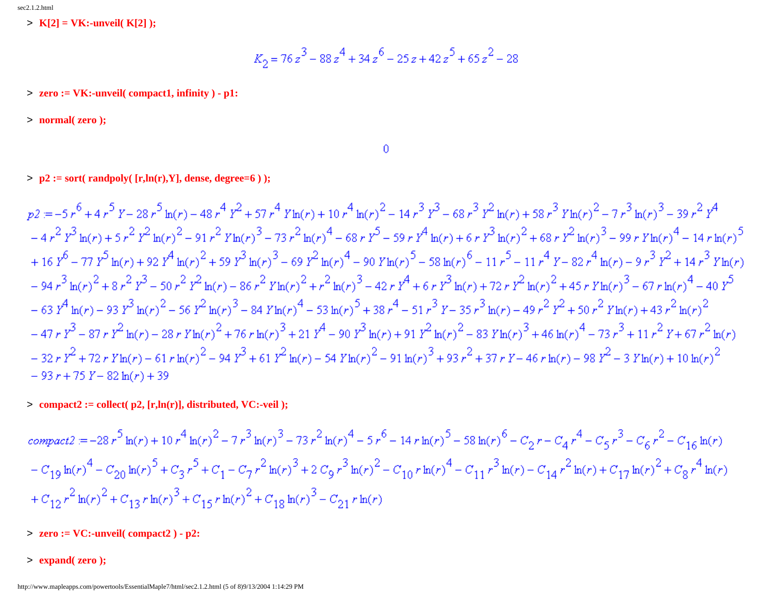> **K[2] = VK:-unveil( K[2] );**

$$
K_2 = 76z^3 - 88z^4 + 34z^6 - 25z + 42z^5 + 65z^2 - 28
$$

> **zero := VK:-unveil( compact1, infinity ) - p1:**

> **normal( zero );**

#### $\theta$

 $> p2 := sort(randpoly([r,ln(r),Y]),$  dense, degree=6);

 $p2 = -5r^6 + 4r^5Y - 28r^5\ln(r) - 48r^4Y^2 + 57r^4Y\ln(r) + 10r^4\ln(r)^2 - 14r^3Y^3 - 68r^3Y^2\ln(r) + 58r^3Y\ln(r)^2 - 7r^3\ln(r)^3 - 39r^2Y^4$  $-4r^2r^3\ln(r)+5r^2r^2\ln(r)^2-91r^2\ln(r)^3-73r^2\ln(r)^4-68r^2\ln(r)+6r^3\ln(r)+6r^3\ln(r)^2+68r^2\ln(r)^3-99r^2\ln(r)^4-14r\ln(r)^5$ + 16  $Y^6$  - 77  $Y^5$   $\ln(r)$  + 92  $Y^4$   $\ln(r)^2$  + 59  $Y^3$   $\ln(r)^3$  - 69  $Y^2$   $\ln(r)^4$  - 90  $Y \ln(r)^5$  - 58  $\ln(r)^6$  - 11  $r^5$  - 11  $r^4$   $Y$  - 82  $r^4$   $\ln(r)$  - 9  $r^3$   $Y^2$  + 14  $r^3$   $Y \ln(r)$  $-94r^3\ln(r)^2+8r^2\frac{r^3}{2}-50r^2\frac{r^2\ln(r)-86r^2\gamma\ln(r)^2+r^2\ln(r)^3-42r\frac{r^4}{2}+6r\frac{r^3\ln(r)+72r\frac{r^2\ln(r)^2+45r\gamma\ln(r)^3-67r\ln(r)^4-40r^5}{r^2\ln(r)^2-67r\ln(r)^4-40r^5}$  $-63 Y^4 \ln(r) - 93 Y^3 \ln(r)^2 - 56 Y^2 \ln(r)^3 - 84 Y \ln(r)^4 - 53 \ln(r)^5 + 38 r^4 - 51 r^3 Y - 35 r^3 \ln(r) - 49 r^2 Y^2 + 50 r^2 Y \ln(r) + 43 r^2 \ln(r)^2$  $-47rY^3 - 87rY^2 \ln(r) - 28rY \ln(r)^2 + 76r \ln(r)^3 + 21Y^4 - 90Y^3 \ln(r) + 91Y^2 \ln(r)^2 - 83Y \ln(r)^3 + 46 \ln(r)^4 - 73r^3 + 11r^2Y + 67r^2 \ln(r)$  $-32rY^2+72rY\ln(r)-61r\ln(r)^2-94Y^3+61Y^2\ln(r)-54Y\ln(r)^2-91\ln(r)^3+93r^2+37rY-46r\ln(r)-98Y^2-3Y\ln(r)+10\ln(r)^2$  $-93r+75Y-82\ln(r)+39$ 

> **compact2 := collect( p2, [r,ln(r)], distributed, VC:-veil );**

$$
compact2 = -28r^{5} \ln(r) + 10r^{4} \ln(r)^{2} - 7r^{3} \ln(r)^{3} - 73r^{2} \ln(r)^{4} - 5r^{6} - 14r \ln(r)^{5} - 58 \ln(r)^{6} - C_{2}r - C_{4}r^{4} - C_{5}r^{3} - C_{6}r^{2} - C_{16} \ln(r)
$$
  
\n
$$
- C_{19} \ln(r)^{4} - C_{20} \ln(r)^{5} + C_{3}r^{5} + C_{1} - C_{7}r^{2} \ln(r)^{3} + 2 C_{9}r^{3} \ln(r)^{2} - C_{10}r \ln(r)^{4} - C_{11}r^{3} \ln(r) - C_{14}r^{2} \ln(r) + C_{17} \ln(r)^{2} + C_{8}r^{4} \ln(r)
$$
  
\n
$$
+ C_{12}r^{2} \ln(r)^{2} + C_{13}r \ln(r)^{3} + C_{15}r \ln(r)^{2} + C_{18} \ln(r)^{3} - C_{21}r \ln(r)
$$

- > **zero := VC:-unveil( compact2 ) p2:**
- > **expand( zero );**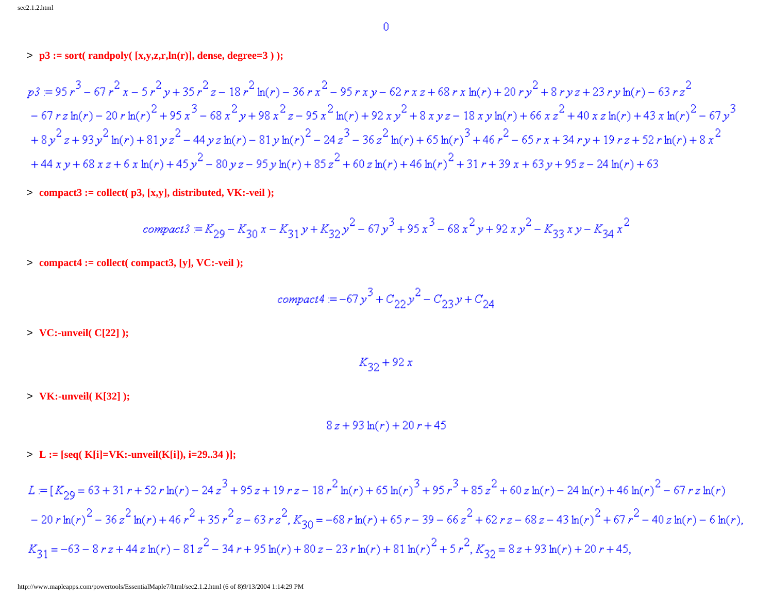### > **p3 := sort( randpoly( [x,y,z,r,ln(r)], dense, degree=3 ) );**

$$
p3 = 95r3 - 67r2 x - 5r2 y + 35r2 z - 18r2 ln(r) - 36r x2 - 95r xy - 62r x z + 68r x ln(r) + 20r y2 + 8r y z + 23r y ln(r) - 63r z2- 67r z ln(r) - 20r ln(r)2 + 95x3 - 68x2 y + 98x2 z - 95x2 ln(r) + 92x y2 + 8x y z - 18x y ln(r) + 66x z2 + 40x z ln(r) + 43x ln(r)2 - 67y3+ 8y2 z + 93y2 ln(r) + 81yz2 - 44yz ln(r) - 81y ln(r)2 - 24z3 - 36z2 ln(r) + 65ln(r)3 + 46r2 - 65r x + 34ry + 19rz + 52r ln(r) + 8x2+ 44xy + 68xz + 6x ln(r) + 45y2 - 80yz - 95y ln(r) + 85z2 + 60z ln(r) + 46ln(r)2 + 31r + 39x + 63y + 95z - 24ln(r) + 63
$$

> **compact3 := collect( p3, [x,y], distributed, VK:-veil );**

$$
compact3 = K_{29} - K_{30}x - K_{31}y + K_{32}y^2 - 67y^3 + 95x^3 - 68x^2y + 92xy^2 - K_{33}xy - K_{34}x^2
$$

> **compact4 := collect( compact3, [y], VC:-veil );**

$$
compact4 = -67y^3 + C_{22}y^2 - C_{23}y + C_{24}
$$

> **VC:-unveil( C[22] );**

$$
K_{32} + 92 x
$$

> **VK:-unveil( K[32] );**

$$
8z + 93\ln(r) + 20r + 45
$$

> **L := [seq( K[i]=VK:-unveil(K[i]), i=29..34 )];**

$$
L = [K_{29} = 63 + 31r + 52r \ln(r) - 24z^{3} + 95z + 19rz - 18r^{2} \ln(r) + 65\ln(r)^{3} + 95r^{3} + 85z^{2} + 60z\ln(r) - 24\ln(r) + 46\ln(r)^{2} - 67rz\ln(r)
$$
  

$$
- 20r \ln(r)^{2} - 36z^{2} \ln(r) + 46r^{2} + 35r^{2}z - 63rz^{2}, K_{30} = -68r \ln(r) + 65r - 39 - 66z^{2} + 62rz - 68z - 43\ln(r)^{2} + 67r^{2} - 40z\ln(r) - 6\ln(r)
$$
  

$$
K_{31} = -63 - 8rz + 44z\ln(r) - 81z^{2} - 34r + 95\ln(r) + 80z - 23r\ln(r) + 81\ln(r)^{2} + 5r^{2}, K_{32} = 8z + 93\ln(r) + 20r + 45,
$$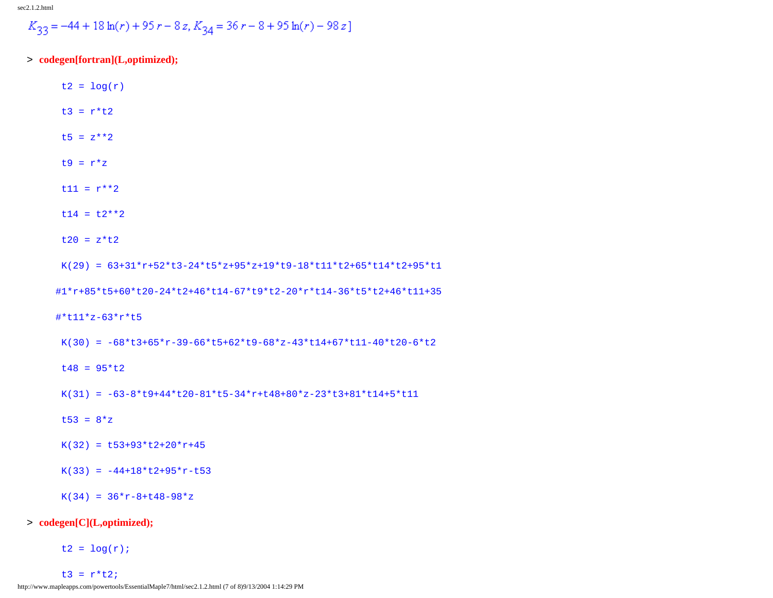$$
K_{33} = -44 + 18 \ln(r) + 95 r - 8 z, K_{34} = 36 r - 8 + 95 \ln(r) - 98 z
$$

- > **codegen[fortran](L,optimized);**
	- $t2 = log(r)$
	- $t3 = r*t2$
	- t5 =  $z**2$
	- t9 =  $r \cdot z$
	- $t11 = r**2$
	- $t14 = t2**2$
	- $t20 = z*t2$
	- $K(29) = 63+31*r+52*t3-24*t5*z+95*z+19*t9-18*t11*t2+65*t14*t2+95*t1$

#1\*r+85\*t5+60\*t20-24\*t2+46\*t14-67\*t9\*t2-20\*r\*t14-36\*t5\*t2+46\*t11+35

#\*t11\*z-63\*r\*t5

- K(30) =  $-68*t3+65*r-39-66*t5+62*t9-68*z-43*t14+67*t11-40*t20-6*t2$
- $t48 = 95*t2$
- K(31) =  $-63-8*t9+44*t20-81*t5-34*r+t48+80*z-23*t3+81*t14+5*t11$
- t53 =  $8*z$
- $K(32) = L53+93*t2+20*r+45$
- $K(33) = -44+18*t2+95*r-t53$
- $K(34) = 36*r-8+t48-98*z$

#### > **codegen[C](L,optimized);**

 $t2 = log(r)$ ;